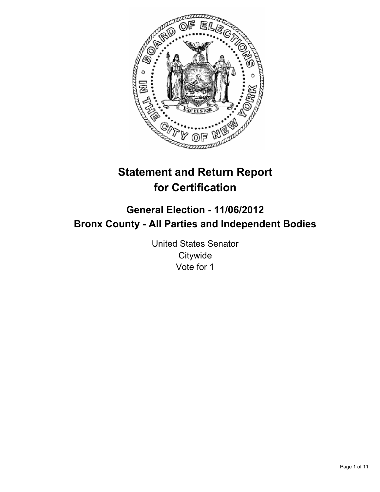

# **Statement and Return Report for Certification**

# **General Election - 11/06/2012 Bronx County - All Parties and Independent Bodies**

United States Senator **Citywide** Vote for 1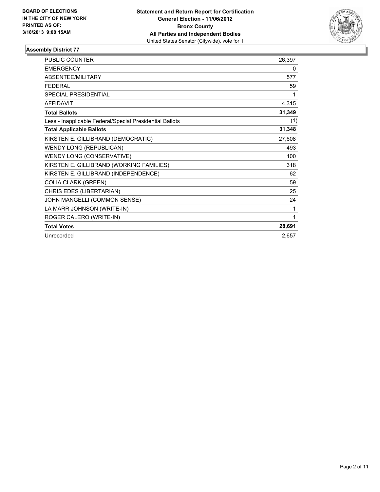

| PUBLIC COUNTER                                           | 26,397 |
|----------------------------------------------------------|--------|
| <b>EMERGENCY</b>                                         | 0      |
| <b>ABSENTEE/MILITARY</b>                                 | 577    |
| <b>FEDERAL</b>                                           | 59     |
| <b>SPECIAL PRESIDENTIAL</b>                              | 1      |
| <b>AFFIDAVIT</b>                                         | 4,315  |
| <b>Total Ballots</b>                                     | 31,349 |
| Less - Inapplicable Federal/Special Presidential Ballots | (1)    |
| <b>Total Applicable Ballots</b>                          | 31,348 |
| KIRSTEN E. GILLIBRAND (DEMOCRATIC)                       | 27,608 |
| <b>WENDY LONG (REPUBLICAN)</b>                           | 493    |
| WENDY LONG (CONSERVATIVE)                                | 100    |
| KIRSTEN E. GILLIBRAND (WORKING FAMILIES)                 | 318    |
| KIRSTEN E. GILLIBRAND (INDEPENDENCE)                     | 62     |
| <b>COLIA CLARK (GREEN)</b>                               | 59     |
| CHRIS EDES (LIBERTARIAN)                                 | 25     |
| JOHN MANGELLI (COMMON SENSE)                             | 24     |
| LA MARR JOHNSON (WRITE-IN)                               | 1      |
| ROGER CALERO (WRITE-IN)                                  | 1      |
| <b>Total Votes</b>                                       | 28,691 |
| Unrecorded                                               | 2,657  |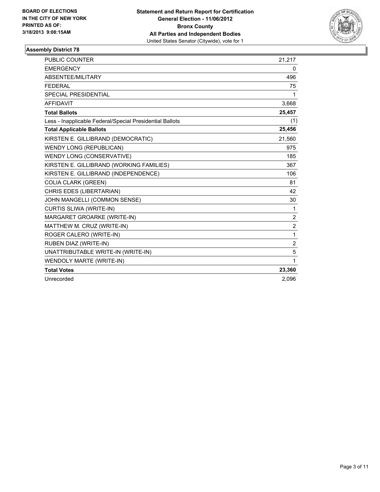

| <b>PUBLIC COUNTER</b>                                    | 21,217         |
|----------------------------------------------------------|----------------|
| <b>EMERGENCY</b>                                         | 0              |
| ABSENTEE/MILITARY                                        | 496            |
| <b>FEDERAL</b>                                           | 75             |
| SPECIAL PRESIDENTIAL                                     | 1              |
| <b>AFFIDAVIT</b>                                         | 3,668          |
| <b>Total Ballots</b>                                     | 25,457         |
| Less - Inapplicable Federal/Special Presidential Ballots | (1)            |
| <b>Total Applicable Ballots</b>                          | 25,456         |
| KIRSTEN E. GILLIBRAND (DEMOCRATIC)                       | 21,560         |
| <b>WENDY LONG (REPUBLICAN)</b>                           | 975            |
| WENDY LONG (CONSERVATIVE)                                | 185            |
| KIRSTEN E. GILLIBRAND (WORKING FAMILIES)                 | 367            |
| KIRSTEN E. GILLIBRAND (INDEPENDENCE)                     | 106            |
| <b>COLIA CLARK (GREEN)</b>                               | 81             |
| CHRIS EDES (LIBERTARIAN)                                 | 42             |
| JOHN MANGELLI (COMMON SENSE)                             | 30             |
| <b>CURTIS SLIWA (WRITE-IN)</b>                           | 1              |
| MARGARET GROARKE (WRITE-IN)                              | $\overline{2}$ |
| MATTHEW M. CRUZ (WRITE-IN)                               | $\overline{2}$ |
| ROGER CALERO (WRITE-IN)                                  | 1              |
| RUBEN DIAZ (WRITE-IN)                                    | $\overline{2}$ |
| UNATTRIBUTABLE WRITE-IN (WRITE-IN)                       | 5              |
| <b>WENDOLY MARTE (WRITE-IN)</b>                          | 1              |
| <b>Total Votes</b>                                       | 23,360         |
| Unrecorded                                               | 2,096          |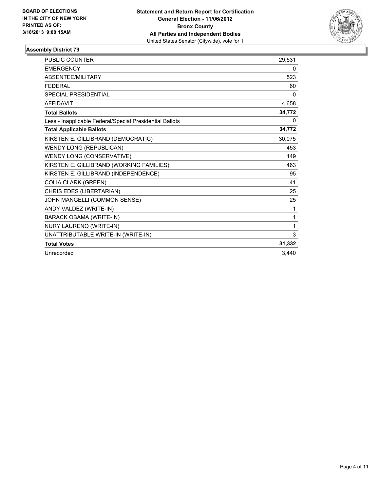

| <b>PUBLIC COUNTER</b>                                    | 29,531 |
|----------------------------------------------------------|--------|
| <b>EMERGENCY</b>                                         | 0      |
| ABSENTEE/MILITARY                                        | 523    |
| <b>FEDERAL</b>                                           | 60     |
| <b>SPECIAL PRESIDENTIAL</b>                              | 0      |
| <b>AFFIDAVIT</b>                                         | 4,658  |
| <b>Total Ballots</b>                                     | 34,772 |
| Less - Inapplicable Federal/Special Presidential Ballots | 0      |
| <b>Total Applicable Ballots</b>                          | 34,772 |
| KIRSTEN E. GILLIBRAND (DEMOCRATIC)                       | 30,075 |
| <b>WENDY LONG (REPUBLICAN)</b>                           | 453    |
| WENDY LONG (CONSERVATIVE)                                | 149    |
| KIRSTEN E. GILLIBRAND (WORKING FAMILIES)                 | 463    |
| KIRSTEN E. GILLIBRAND (INDEPENDENCE)                     | 95     |
| <b>COLIA CLARK (GREEN)</b>                               | 41     |
| CHRIS EDES (LIBERTARIAN)                                 | 25     |
| JOHN MANGELLI (COMMON SENSE)                             | 25     |
| ANDY VALDEZ (WRITE-IN)                                   | 1      |
| <b>BARACK OBAMA (WRITE-IN)</b>                           | 1      |
| NURY LAURENO (WRITE-IN)                                  | 1      |
| UNATTRIBUTABLE WRITE-IN (WRITE-IN)                       | 3      |
| <b>Total Votes</b>                                       | 31,332 |
| Unrecorded                                               | 3,440  |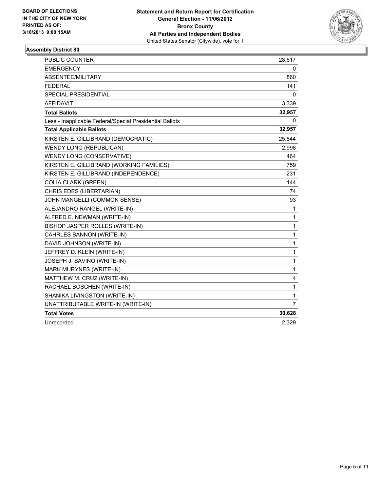

| <b>PUBLIC COUNTER</b>                                    | 28,617       |
|----------------------------------------------------------|--------------|
| <b>EMERGENCY</b>                                         | 0            |
| ABSENTEE/MILITARY                                        | 860          |
| <b>FEDERAL</b>                                           | 141          |
| <b>SPECIAL PRESIDENTIAL</b>                              | 0            |
| <b>AFFIDAVIT</b>                                         | 3,339        |
| <b>Total Ballots</b>                                     | 32,957       |
| Less - Inapplicable Federal/Special Presidential Ballots | 0            |
| <b>Total Applicable Ballots</b>                          | 32,957       |
| KIRSTEN E. GILLIBRAND (DEMOCRATIC)                       | 25,844       |
| <b>WENDY LONG (REPUBLICAN)</b>                           | 2,998        |
| WENDY LONG (CONSERVATIVE)                                | 464          |
| KIRSTEN E. GILLIBRAND (WORKING FAMILIES)                 | 759          |
| KIRSTEN E. GILLIBRAND (INDEPENDENCE)                     | 231          |
| <b>COLIA CLARK (GREEN)</b>                               | 144          |
| CHRIS EDES (LIBERTARIAN)                                 | 74           |
| JOHN MANGELLI (COMMON SENSE)                             | 93           |
| ALEJANDRO RANGEL (WRITE-IN)                              | 1            |
| ALFRED E. NEWMAN (WRITE-IN)                              | 1            |
| BISHOP JASPER ROLLES (WRITE-IN)                          | 1            |
| CAHRLES BANNON (WRITE-IN)                                | $\mathbf{1}$ |
| DAVID JOHNSON (WRITE-IN)                                 | 1            |
| JEFFREY D. KLEIN (WRITE-IN)                              | 1            |
| JOSEPH J. SAVINO (WRITE-IN)                              | 1            |
| MARK MURYNES (WRITE-IN)                                  | 1            |
| MATTHEW M. CRUZ (WRITE-IN)                               | 4            |
| RACHAEL BOSCHEN (WRITE-IN)                               | 1            |
| SHANIKA LIVINGSTON (WRITE-IN)                            | $\mathbf{1}$ |
| UNATTRIBUTABLE WRITE-IN (WRITE-IN)                       | 7            |
| <b>Total Votes</b>                                       | 30,628       |
| Unrecorded                                               | 2,329        |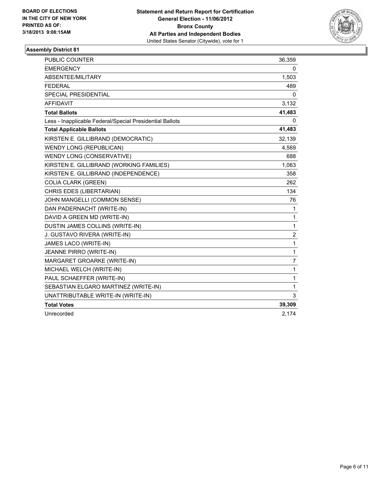

| <b>PUBLIC COUNTER</b>                                    | 36,359         |
|----------------------------------------------------------|----------------|
| <b>EMERGENCY</b>                                         | 0              |
| ABSENTEE/MILITARY                                        | 1,503          |
| <b>FEDERAL</b>                                           | 489            |
| <b>SPECIAL PRESIDENTIAL</b>                              | 0              |
| <b>AFFIDAVIT</b>                                         | 3,132          |
| <b>Total Ballots</b>                                     | 41,483         |
| Less - Inapplicable Federal/Special Presidential Ballots | 0              |
| <b>Total Applicable Ballots</b>                          | 41,483         |
| KIRSTEN E. GILLIBRAND (DEMOCRATIC)                       | 32,139         |
| <b>WENDY LONG (REPUBLICAN)</b>                           | 4,569          |
| WENDY LONG (CONSERVATIVE)                                | 688            |
| KIRSTEN E. GILLIBRAND (WORKING FAMILIES)                 | 1,063          |
| KIRSTEN E. GILLIBRAND (INDEPENDENCE)                     | 358            |
| <b>COLIA CLARK (GREEN)</b>                               | 262            |
| CHRIS EDES (LIBERTARIAN)                                 | 134            |
| JOHN MANGELLI (COMMON SENSE)                             | 76             |
| DAN PADERNACHT (WRITE-IN)                                | 1              |
| DAVID A GREEN MD (WRITE-IN)                              | $\mathbf{1}$   |
| DUSTIN JAMES COLLINS (WRITE-IN)                          | $\mathbf{1}$   |
| J. GUSTAVO RIVERA (WRITE-IN)                             | $\overline{c}$ |
| JAMES LACO (WRITE-IN)                                    | $\mathbf{1}$   |
| JEANNE PIRRO (WRITE-IN)                                  | $\mathbf{1}$   |
| MARGARET GROARKE (WRITE-IN)                              | $\overline{7}$ |
| MICHAEL WELCH (WRITE-IN)                                 | $\mathbf{1}$   |
| PAUL SCHAEFFER (WRITE-IN)                                | $\mathbf{1}$   |
| SEBASTIAN ELGARO MARTINEZ (WRITE-IN)                     | $\mathbf{1}$   |
| UNATTRIBUTABLE WRITE-IN (WRITE-IN)                       | 3              |
| <b>Total Votes</b>                                       | 39,309         |
| Unrecorded                                               | 2,174          |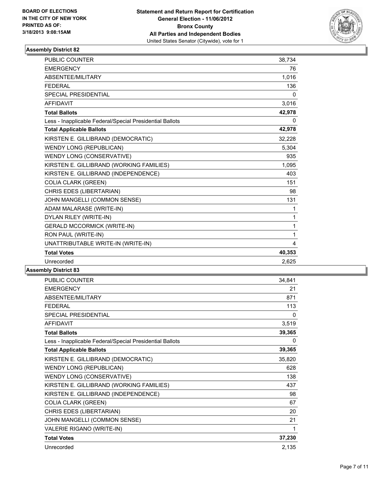

| <b>PUBLIC COUNTER</b>                                    | 38,734 |
|----------------------------------------------------------|--------|
| <b>EMERGENCY</b>                                         | 76     |
| <b>ABSENTEE/MILITARY</b>                                 | 1,016  |
| <b>FFDFRAI</b>                                           | 136    |
| <b>SPECIAL PRESIDENTIAL</b>                              | 0      |
| <b>AFFIDAVIT</b>                                         | 3,016  |
| <b>Total Ballots</b>                                     | 42,978 |
| Less - Inapplicable Federal/Special Presidential Ballots | 0      |
| <b>Total Applicable Ballots</b>                          | 42,978 |
| KIRSTEN E. GILLIBRAND (DEMOCRATIC)                       | 32,228 |
| <b>WENDY LONG (REPUBLICAN)</b>                           | 5,304  |
| WENDY LONG (CONSERVATIVE)                                | 935    |
| KIRSTEN E. GILLIBRAND (WORKING FAMILIES)                 | 1,095  |
| KIRSTEN E. GILLIBRAND (INDEPENDENCE)                     | 403    |
| <b>COLIA CLARK (GREEN)</b>                               | 151    |
| CHRIS EDES (LIBERTARIAN)                                 | 98     |
| JOHN MANGELLI (COMMON SENSE)                             | 131    |
| ADAM MALARASE (WRITE-IN)                                 | 1      |
| DYLAN RILEY (WRITE-IN)                                   | 1      |
| <b>GERALD MCCORMICK (WRITE-IN)</b>                       | 1      |
| RON PAUL (WRITE-IN)                                      | 1      |
| UNATTRIBUTABLE WRITE-IN (WRITE-IN)                       | 4      |
| <b>Total Votes</b>                                       | 40,353 |
| Unrecorded                                               | 2,625  |
|                                                          |        |

| <b>PUBLIC COUNTER</b>                                    | 34,841 |
|----------------------------------------------------------|--------|
| <b>EMERGENCY</b>                                         | 21     |
| ABSENTEE/MILITARY                                        | 871    |
| <b>FEDERAL</b>                                           | 113    |
| <b>SPECIAL PRESIDENTIAL</b>                              | 0      |
| <b>AFFIDAVIT</b>                                         | 3,519  |
| <b>Total Ballots</b>                                     | 39,365 |
| Less - Inapplicable Federal/Special Presidential Ballots | 0      |
| <b>Total Applicable Ballots</b>                          | 39,365 |
| KIRSTEN E. GILLIBRAND (DEMOCRATIC)                       | 35,820 |
| <b>WENDY LONG (REPUBLICAN)</b>                           | 628    |
| WENDY LONG (CONSERVATIVE)                                | 138    |
| KIRSTEN E. GILLIBRAND (WORKING FAMILIES)                 | 437    |
| KIRSTEN E. GILLIBRAND (INDEPENDENCE)                     | 98     |
| <b>COLIA CLARK (GREEN)</b>                               | 67     |
| CHRIS EDES (LIBERTARIAN)                                 | 20     |
| JOHN MANGELLI (COMMON SENSE)                             | 21     |
| <b>VALERIE RIGANO (WRITE-IN)</b>                         | 1      |
| <b>Total Votes</b>                                       | 37,230 |
| Unrecorded                                               | 2,135  |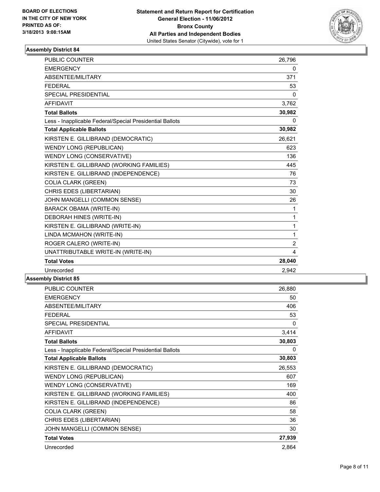

| <b>PUBLIC COUNTER</b>                                    | 26,796         |
|----------------------------------------------------------|----------------|
| <b>EMERGENCY</b>                                         | 0              |
| ABSENTEE/MILITARY                                        | 371            |
| <b>FEDERAL</b>                                           | 53             |
| SPECIAL PRESIDENTIAL                                     | $\Omega$       |
| <b>AFFIDAVIT</b>                                         | 3,762          |
| <b>Total Ballots</b>                                     | 30,982         |
| Less - Inapplicable Federal/Special Presidential Ballots | 0              |
| <b>Total Applicable Ballots</b>                          | 30,982         |
| KIRSTEN E. GILLIBRAND (DEMOCRATIC)                       | 26,621         |
| <b>WENDY LONG (REPUBLICAN)</b>                           | 623            |
| WENDY LONG (CONSERVATIVE)                                | 136            |
| KIRSTEN E. GILLIBRAND (WORKING FAMILIES)                 | 445            |
| KIRSTEN E. GILLIBRAND (INDEPENDENCE)                     | 76             |
| <b>COLIA CLARK (GREEN)</b>                               | 73             |
| CHRIS EDES (LIBERTARIAN)                                 | 30             |
| JOHN MANGELLI (COMMON SENSE)                             | 26             |
| <b>BARACK OBAMA (WRITE-IN)</b>                           | $\mathbf{1}$   |
| DEBORAH HINES (WRITE-IN)                                 | $\mathbf{1}$   |
| KIRSTEN E. GILLIBRAND (WRITE-IN)                         | $\mathbf 1$    |
| LINDA MCMAHON (WRITE-IN)                                 | $\mathbf{1}$   |
| ROGER CALERO (WRITE-IN)                                  | $\overline{2}$ |
| UNATTRIBUTABLE WRITE-IN (WRITE-IN)                       | 4              |
| <b>Total Votes</b>                                       | 28,040         |
| Unrecorded                                               | 2,942          |

| <b>PUBLIC COUNTER</b>                                    | 26,880 |
|----------------------------------------------------------|--------|
| <b>EMERGENCY</b>                                         | 50     |
| ABSENTEE/MILITARY                                        | 406    |
| <b>FEDERAL</b>                                           | 53     |
| <b>SPECIAL PRESIDENTIAL</b>                              | 0      |
| <b>AFFIDAVIT</b>                                         | 3,414  |
| <b>Total Ballots</b>                                     | 30,803 |
| Less - Inapplicable Federal/Special Presidential Ballots | 0      |
| <b>Total Applicable Ballots</b>                          | 30,803 |
| KIRSTEN E. GILLIBRAND (DEMOCRATIC)                       | 26,553 |
| <b>WENDY LONG (REPUBLICAN)</b>                           | 607    |
| WENDY LONG (CONSERVATIVE)                                | 169    |
| KIRSTEN E. GILLIBRAND (WORKING FAMILIES)                 | 400    |
| KIRSTEN E. GILLIBRAND (INDEPENDENCE)                     | 86     |
| <b>COLIA CLARK (GREEN)</b>                               | 58     |
| CHRIS EDES (LIBERTARIAN)                                 | 36     |
| JOHN MANGELLI (COMMON SENSE)                             | 30     |
| <b>Total Votes</b>                                       | 27,939 |
| Unrecorded                                               | 2,864  |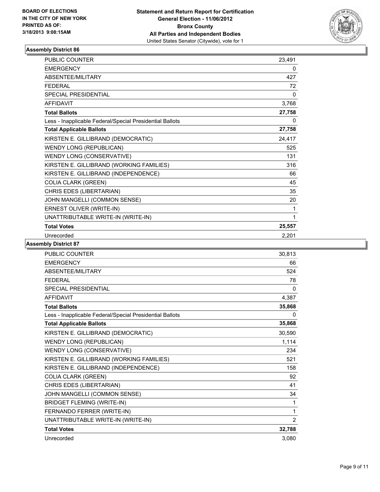

| PUBLIC COUNTER                                           | 23,491 |
|----------------------------------------------------------|--------|
| <b>EMERGENCY</b>                                         | 0      |
| <b>ABSENTEE/MILITARY</b>                                 | 427    |
| <b>FFDFRAL</b>                                           | 72     |
| <b>SPECIAL PRESIDENTIAL</b>                              | 0      |
| <b>AFFIDAVIT</b>                                         | 3,768  |
| <b>Total Ballots</b>                                     | 27,758 |
| Less - Inapplicable Federal/Special Presidential Ballots | 0      |
| <b>Total Applicable Ballots</b>                          | 27,758 |
| KIRSTEN E. GILLIBRAND (DEMOCRATIC)                       | 24,417 |
| <b>WENDY LONG (REPUBLICAN)</b>                           | 525    |
| WENDY LONG (CONSERVATIVE)                                | 131    |
| KIRSTEN E. GILLIBRAND (WORKING FAMILIES)                 | 316    |
| KIRSTEN E. GILLIBRAND (INDEPENDENCE)                     | 66     |
| <b>COLIA CLARK (GREEN)</b>                               | 45     |
| CHRIS EDES (LIBERTARIAN)                                 | 35     |
| JOHN MANGELLI (COMMON SENSE)                             | 20     |
| ERNEST OLIVER (WRITE-IN)                                 | 1      |
| UNATTRIBUTABLE WRITE-IN (WRITE-IN)                       | 1      |
| <b>Total Votes</b>                                       | 25,557 |
| Unrecorded                                               | 2,201  |

| <b>PUBLIC COUNTER</b>                                    | 30,813         |
|----------------------------------------------------------|----------------|
| <b>EMERGENCY</b>                                         | 66             |
| ABSENTEE/MILITARY                                        | 524            |
| <b>FEDERAL</b>                                           | 78             |
| <b>SPECIAL PRESIDENTIAL</b>                              | 0              |
| <b>AFFIDAVIT</b>                                         | 4,387          |
| <b>Total Ballots</b>                                     | 35,868         |
| Less - Inapplicable Federal/Special Presidential Ballots | 0              |
| <b>Total Applicable Ballots</b>                          | 35,868         |
| KIRSTEN E. GILLIBRAND (DEMOCRATIC)                       | 30,590         |
| <b>WENDY LONG (REPUBLICAN)</b>                           | 1,114          |
| WENDY LONG (CONSERVATIVE)                                | 234            |
| KIRSTEN E. GILLIBRAND (WORKING FAMILIES)                 | 521            |
| KIRSTEN E. GILLIBRAND (INDEPENDENCE)                     | 158            |
| <b>COLIA CLARK (GREEN)</b>                               | 92             |
| CHRIS EDES (LIBERTARIAN)                                 | 41             |
| JOHN MANGELLI (COMMON SENSE)                             | 34             |
| <b>BRIDGET FLEMING (WRITE-IN)</b>                        | 1              |
| FERNANDO FERRER (WRITE-IN)                               | 1              |
| UNATTRIBUTABLE WRITE-IN (WRITE-IN)                       | $\overline{2}$ |
| <b>Total Votes</b>                                       | 32,788         |
| Unrecorded                                               | 3,080          |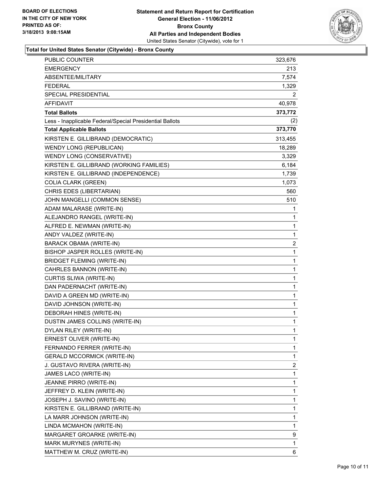

# **Total for United States Senator (Citywide) - Bronx County**

| PUBLIC COUNTER                                           | 323,676 |
|----------------------------------------------------------|---------|
| <b>EMERGENCY</b>                                         | 213     |
| ABSENTEE/MILITARY                                        | 7,574   |
| <b>FEDERAL</b>                                           | 1,329   |
| SPECIAL PRESIDENTIAL                                     | 2       |
| AFFIDAVIT                                                | 40,978  |
| <b>Total Ballots</b>                                     | 373,772 |
| Less - Inapplicable Federal/Special Presidential Ballots | (2)     |
| <b>Total Applicable Ballots</b>                          | 373,770 |
| KIRSTEN E. GILLIBRAND (DEMOCRATIC)                       | 313,455 |
| WENDY LONG (REPUBLICAN)                                  | 18,289  |
| WENDY LONG (CONSERVATIVE)                                | 3,329   |
| KIRSTEN E. GILLIBRAND (WORKING FAMILIES)                 | 6,184   |
| KIRSTEN E. GILLIBRAND (INDEPENDENCE)                     | 1,739   |
| <b>COLIA CLARK (GREEN)</b>                               | 1,073   |
| CHRIS EDES (LIBERTARIAN)                                 | 560     |
| JOHN MANGELLI (COMMON SENSE)                             | 510     |
| ADAM MALARASE (WRITE-IN)                                 | 1       |
| ALEJANDRO RANGEL (WRITE-IN)                              | 1       |
| ALFRED E. NEWMAN (WRITE-IN)                              | 1       |
| ANDY VALDEZ (WRITE-IN)                                   | 1       |
| <b>BARACK OBAMA (WRITE-IN)</b>                           | 2       |
| BISHOP JASPER ROLLES (WRITE-IN)                          | 1       |
| <b>BRIDGET FLEMING (WRITE-IN)</b>                        | 1       |
| CAHRLES BANNON (WRITE-IN)                                | 1       |
| <b>CURTIS SLIWA (WRITE-IN)</b>                           | 1       |
| DAN PADERNACHT (WRITE-IN)                                | 1       |
| DAVID A GREEN MD (WRITE-IN)                              | 1       |
| DAVID JOHNSON (WRITE-IN)                                 | 1       |
| DEBORAH HINES (WRITE-IN)                                 | 1       |
| DUSTIN JAMES COLLINS (WRITE-IN)                          | 1       |
| DYLAN RILEY (WRITE-IN)                                   | 1       |
| ERNEST OLIVER (WRITE-IN)                                 | 1       |
| FERNANDO FERRER (WRITE-IN)                               | 1       |
| <b>GERALD MCCORMICK (WRITE-IN)</b>                       | 1       |
| J. GUSTAVO RIVERA (WRITE-IN)                             | 2       |
| JAMES LACO (WRITE-IN)                                    | 1       |
| JEANNE PIRRO (WRITE-IN)                                  | 1       |
| JEFFREY D. KLEIN (WRITE-IN)                              | 1       |
| JOSEPH J. SAVINO (WRITE-IN)                              | 1       |
| KIRSTEN E. GILLIBRAND (WRITE-IN)                         | 1       |
| LA MARR JOHNSON (WRITE-IN)                               | 1       |
| LINDA MCMAHON (WRITE-IN)                                 | 1       |
| MARGARET GROARKE (WRITE-IN)                              | 9       |
| MARK MURYNES (WRITE-IN)                                  | 1       |
| MATTHEW M. CRUZ (WRITE-IN)                               | 6       |